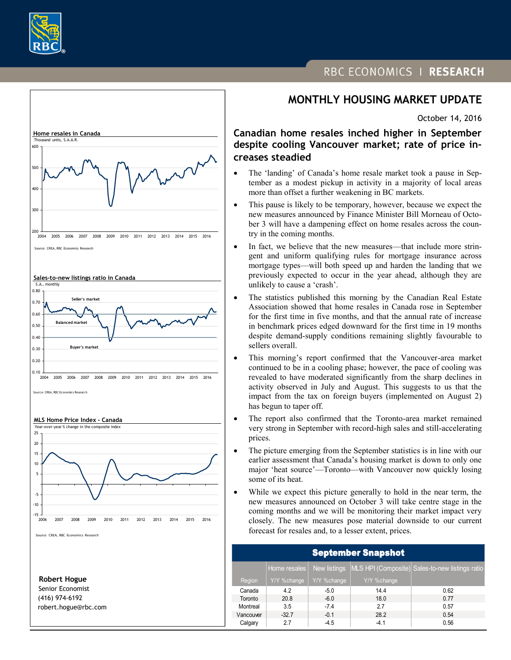



 (416) 974-6192 robert.hogue@rbc.com

# RBC ECONOMICS | RESEARCH

# **MONTHLY HOUSING MARKET UPDATE**

October 14, 2016

**Canadian home resales inched higher in September despite cooling Vancouver market; rate of price increases steadied**

- The 'landing' of Canada's home resale market took a pause in September as a modest pickup in activity in a majority of local areas more than offset a further weakening in BC markets.
- This pause is likely to be temporary, however, because we expect the new measures announced by Finance Minister Bill Morneau of October 3 will have a dampening effect on home resales across the country in the coming months.
- In fact, we believe that the new measures—that include more stringent and uniform qualifying rules for mortgage insurance across mortgage types—will both speed up and harden the landing that we previously expected to occur in the year ahead, although they are unlikely to cause a 'crash'.
- The statistics published this morning by the Canadian Real Estate Association showed that home resales in Canada rose in September for the first time in five months, and that the annual rate of increase in benchmark prices edged downward for the first time in 19 months despite demand-supply conditions remaining slightly favourable to sellers overall.
- This morning's report confirmed that the Vancouver-area market continued to be in a cooling phase; however, the pace of cooling was revealed to have moderated significantly from the sharp declines in activity observed in July and August. This suggests to us that the impact from the tax on foreign buyers (implemented on August 2) has begun to taper off.
- The report also confirmed that the Toronto-area market remained very strong in September with record-high sales and still-accelerating prices.
- The picture emerging from the September statistics is in line with our earlier assessment that Canada's housing market is down to only one major 'heat source'—Toronto—with Vancouver now quickly losing some of its heat.
- While we expect this picture generally to hold in the near term, the new measures announced on October 3 will take centre stage in the coming months and we will be monitoring their market impact very closely. The new measures pose material downside to our current forecast for resales and, to a lesser extent, prices.

| <b>September Snapshot</b> |              |              |             |                                                 |
|---------------------------|--------------|--------------|-------------|-------------------------------------------------|
|                           | Home resales | New listings |             | MLS HPI (Composite) Sales-to-new listings ratio |
| Region                    | Y/Y %change  | Y/Y %change  | Y/Y %change |                                                 |
| Canada                    | 4.2          | $-5.0$       | 14.4        | 0.62                                            |
| Toronto                   | 20.8         | $-6.0$       | 18.0        | 0.77                                            |
| Montreal                  | 3.5          | $-7.4$       | 2.7         | 0.57                                            |
| Vancouver                 | $-32.7$      | $-0.1$       | 28.2        | 0.54                                            |
| Calgary                   | 2.7          | $-4.5$       | $-4.1$      | 0.56                                            |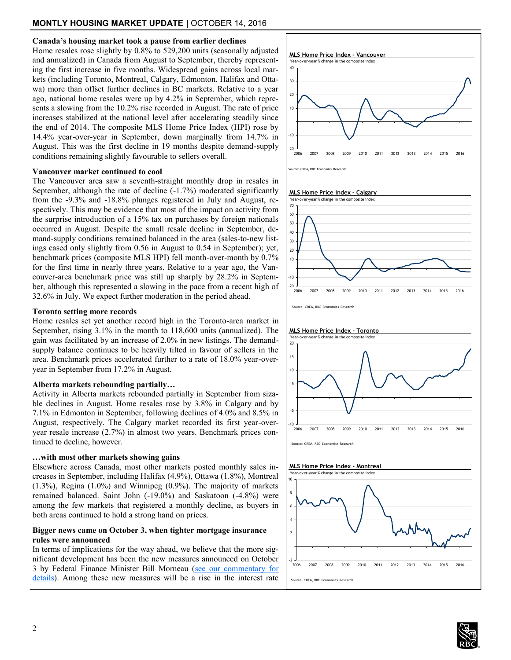# **MONTLY HOUSING MARKET UPDATE |** OCTOBER 14, 2016

## **Canada's housing market took a pause from earlier declines**

Home resales rose slightly by 0.8% to 529,200 units (seasonally adjusted and annualized) in Canada from August to September, thereby representing the first increase in five months. Widespread gains across local markets (including Toronto, Montreal, Calgary, Edmonton, Halifax and Ottawa) more than offset further declines in BC markets. Relative to a year ago, national home resales were up by 4.2% in September, which represents a slowing from the 10.2% rise recorded in August. The rate of price increases stabilized at the national level after accelerating steadily since the end of 2014. The composite MLS Home Price Index (HPI) rose by 14.4% year-over-year in September, down marginally from 14.7% in August. This was the first decline in 19 months despite demand-supply conditions remaining slightly favourable to sellers overall.

### **Vancouver market continued to cool**

The Vancouver area saw a seventh-straight monthly drop in resales in September, although the rate of decline (-1.7%) moderated significantly from the -9.3% and -18.8% plunges registered in July and August, respectively. This may be evidence that most of the impact on activity from the surprise introduction of a 15% tax on purchases by foreign nationals occurred in August. Despite the small resale decline in September, demand-supply conditions remained balanced in the area (sales-to-new listings eased only slightly from 0.56 in August to 0.54 in September); yet, benchmark prices (composite MLS HPI) fell month-over-month by 0.7% for the first time in nearly three years. Relative to a year ago, the Vancouver-area benchmark price was still up sharply by 28.2% in September, although this represented a slowing in the pace from a recent high of 32.6% in July. We expect further moderation in the period ahead.

#### **Toronto setting more records**

Home resales set yet another record high in the Toronto-area market in September, rising 3.1% in the month to 118,600 units (annualized). The gain was facilitated by an increase of 2.0% in new listings. The demandsupply balance continues to be heavily tilted in favour of sellers in the area. Benchmark prices accelerated further to a rate of 18.0% year-overyear in September from 17.2% in August.

### **Alberta markets rebounding partially…**

Activity in Alberta markets rebounded partially in September from sizable declines in August. Home resales rose by 3.8% in Calgary and by 7.1% in Edmonton in September, following declines of 4.0% and 8.5% in August, respectively. The Calgary market recorded its first year-overyear resale increase (2.7%) in almost two years. Benchmark prices continued to decline, however.

#### **…with most other markets showing gains**

Elsewhere across Canada, most other markets posted monthly sales increases in September, including Halifax (4.9%), Ottawa (1.8%), Montreal (1.3%), Regina (1.0%) and Winnipeg (0.9%). The majority of markets remained balanced. Saint John (-19.0%) and Saskatoon (-4.8%) were among the few markets that registered a monthly decline, as buyers in both areas continued to hold a strong hand on prices.

# **Bigger news came on October 3, when tighter mortgage insurance rules were announced**

In terms of implications for the way ahead, we believe that the more significant development has been the new measures announced on October 3 by Federal Finance Minister Bill Morneau (see our commentary for [details\)](http://www.rbc.com/economics/economic-reports/pdf/canadian-housing/New%20housing%20measures.pdf). Among these new measures will be a rise in the interest rate



#### **MLS Home Price Index - Calgary**







# **MLS Home Price Index - Montreal**